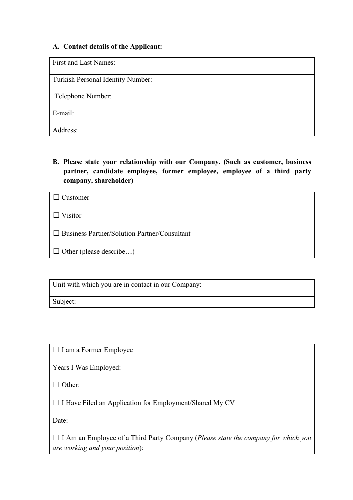## **A. Contact details of the Applicant:**

First and Last Names:

Turkish Personal Identity Number:

Telephone Number:

E-mail:

Address:

**B. Please state your relationship with our Company. (Such as customer, business partner, candidate employee, former employee, employee of a third party company, shareholder)** 

| $\Box$ Customer                                     |
|-----------------------------------------------------|
| $\Box$ Visitor                                      |
| $\Box$ Business Partner/Solution Partner/Consultant |
| $\Box$ Other (please describe)                      |

Unit with which you are in contact in our Company:

Subject:

□ I am a Former Employee

Years I Was Employed:

□ Other:

☐ I Have Filed an Application for Employment/Shared My CV

Date:

☐ I Am an Employee of a Third Party Company (*Please state the company for which you are working and your position*):